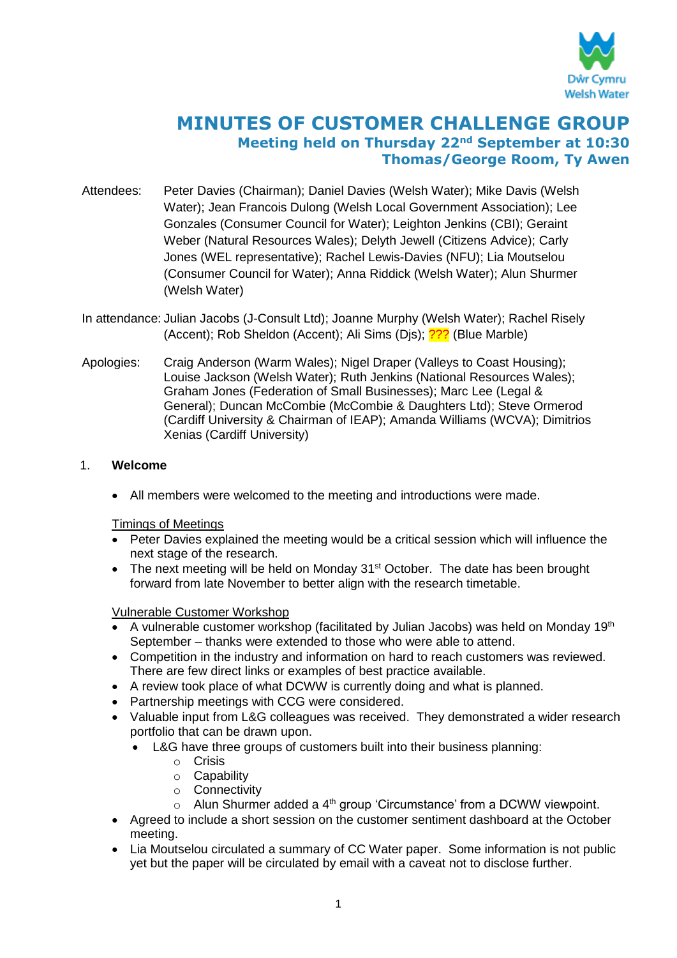

# **MINUTES OF CUSTOMER CHALLENGE GROUP Meeting held on Thursday 22nd September at 10:30 Thomas/George Room, Ty Awen**

- Attendees: Peter Davies (Chairman); Daniel Davies (Welsh Water); Mike Davis (Welsh Water); Jean Francois Dulong (Welsh Local Government Association); Lee Gonzales (Consumer Council for Water); Leighton Jenkins (CBI); Geraint Weber (Natural Resources Wales); Delyth Jewell (Citizens Advice); Carly Jones (WEL representative); Rachel Lewis-Davies (NFU); Lia Moutselou (Consumer Council for Water); Anna Riddick (Welsh Water); Alun Shurmer (Welsh Water)
- In attendance: Julian Jacobs (J-Consult Ltd); Joanne Murphy (Welsh Water); Rachel Risely (Accent); Rob Sheldon (Accent); Ali Sims (Dis); <sup>222</sup> (Blue Marble)
- Apologies: Craig Anderson (Warm Wales); Nigel Draper (Valleys to Coast Housing); Louise Jackson (Welsh Water); Ruth Jenkins (National Resources Wales); Graham Jones (Federation of Small Businesses); Marc Lee (Legal & General); Duncan McCombie (McCombie & Daughters Ltd); Steve Ormerod (Cardiff University & Chairman of IEAP); Amanda Williams (WCVA); Dimitrios Xenias (Cardiff University)

# 1. **Welcome**

All members were welcomed to the meeting and introductions were made.

Timings of Meetings

- Peter Davies explained the meeting would be a critical session which will influence the next stage of the research.
- The next meeting will be held on Monday 31<sup>st</sup> October. The date has been brought forward from late November to better align with the research timetable.

Vulnerable Customer Workshop

- A vulnerable customer workshop (facilitated by Julian Jacobs) was held on Monday 19<sup>th</sup> September – thanks were extended to those who were able to attend.
- Competition in the industry and information on hard to reach customers was reviewed. There are few direct links or examples of best practice available.
- A review took place of what DCWW is currently doing and what is planned.
- Partnership meetings with CCG were considered.
- Valuable input from L&G colleagues was received. They demonstrated a wider research portfolio that can be drawn upon.
	- L&G have three groups of customers built into their business planning:
		- o Crisis
		- o Capability
		- o Connectivity
		- $\circ$  Alun Shurmer added a 4<sup>th</sup> group 'Circumstance' from a DCWW viewpoint.
- Agreed to include a short session on the customer sentiment dashboard at the October meeting.
- Lia Moutselou circulated a summary of CC Water paper. Some information is not public yet but the paper will be circulated by email with a caveat not to disclose further.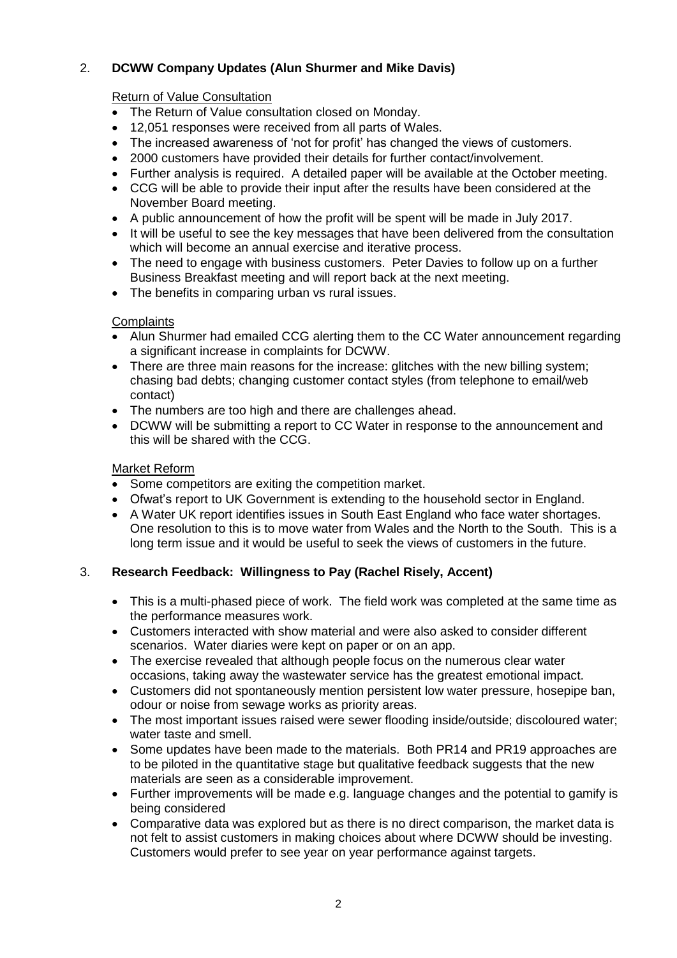# 2. **DCWW Company Updates (Alun Shurmer and Mike Davis)**

# Return of Value Consultation

- The Return of Value consultation closed on Monday.
- 12,051 responses were received from all parts of Wales.
- The increased awareness of 'not for profit' has changed the views of customers.
- 2000 customers have provided their details for further contact/involvement.
- Further analysis is required. A detailed paper will be available at the October meeting.
- CCG will be able to provide their input after the results have been considered at the November Board meeting.
- A public announcement of how the profit will be spent will be made in July 2017.
- It will be useful to see the key messages that have been delivered from the consultation which will become an annual exercise and iterative process.
- The need to engage with business customers. Peter Davies to follow up on a further Business Breakfast meeting and will report back at the next meeting.
- The benefits in comparing urban vs rural issues.

#### **Complaints**

- Alun Shurmer had emailed CCG alerting them to the CC Water announcement regarding a significant increase in complaints for DCWW.
- There are three main reasons for the increase: glitches with the new billing system; chasing bad debts; changing customer contact styles (from telephone to email/web contact)
- The numbers are too high and there are challenges ahead.
- DCWW will be submitting a report to CC Water in response to the announcement and this will be shared with the CCG.

#### Market Reform

- Some competitors are exiting the competition market.
- Ofwat's report to UK Government is extending to the household sector in England.
- A Water UK report identifies issues in South East England who face water shortages. One resolution to this is to move water from Wales and the North to the South. This is a long term issue and it would be useful to seek the views of customers in the future.

#### 3. **Research Feedback: Willingness to Pay (Rachel Risely, Accent)**

- This is a multi-phased piece of work. The field work was completed at the same time as the performance measures work.
- Customers interacted with show material and were also asked to consider different scenarios. Water diaries were kept on paper or on an app.
- The exercise revealed that although people focus on the numerous clear water occasions, taking away the wastewater service has the greatest emotional impact.
- Customers did not spontaneously mention persistent low water pressure, hosepipe ban, odour or noise from sewage works as priority areas.
- The most important issues raised were sewer flooding inside/outside; discoloured water; water taste and smell.
- Some updates have been made to the materials. Both PR14 and PR19 approaches are to be piloted in the quantitative stage but qualitative feedback suggests that the new materials are seen as a considerable improvement.
- Further improvements will be made e.g. language changes and the potential to gamify is being considered
- Comparative data was explored but as there is no direct comparison, the market data is not felt to assist customers in making choices about where DCWW should be investing. Customers would prefer to see year on year performance against targets.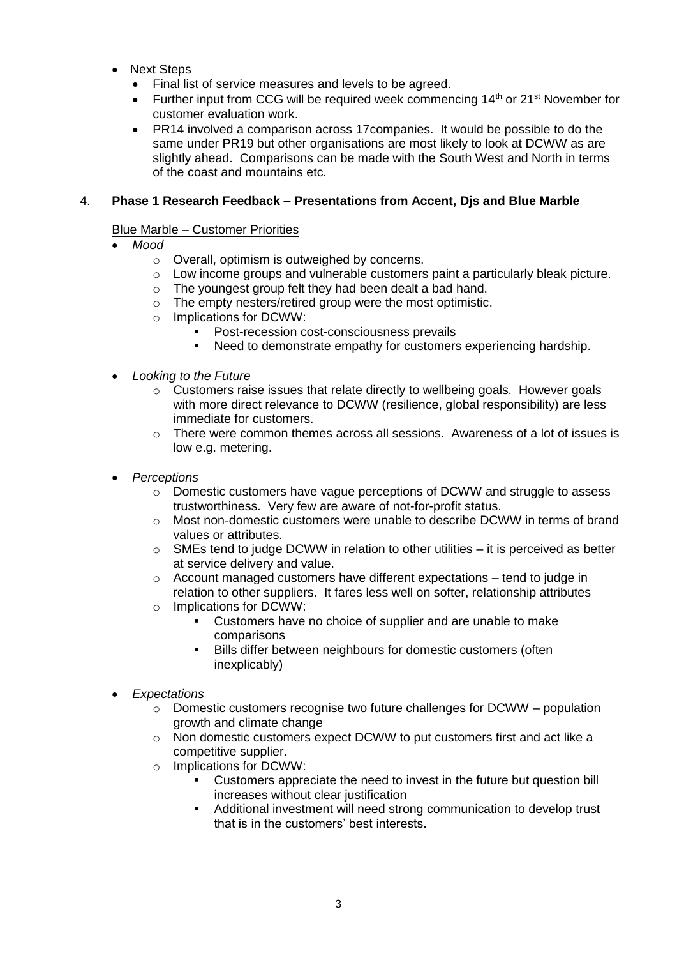- Next Steps
	- Final list of service measures and levels to be agreed.
	- Further input from CCG will be required week commencing  $14<sup>th</sup>$  or  $21<sup>st</sup>$  November for customer evaluation work.
	- PR14 involved a comparison across 17companies. It would be possible to do the same under PR19 but other organisations are most likely to look at DCWW as are slightly ahead. Comparisons can be made with the South West and North in terms of the coast and mountains etc.

#### 4. **Phase 1 Research Feedback – Presentations from Accent, Djs and Blue Marble**

#### Blue Marble – Customer Priorities

- *Mood*
	- o Overall, optimism is outweighed by concerns.
	- $\circ$  Low income groups and vulnerable customers paint a particularly bleak picture.
	- o The youngest group felt they had been dealt a bad hand.
	- o The empty nesters/retired group were the most optimistic.
	- o Implications for DCWW:
		- **Post-recession cost-consciousness prevails**
		- Need to demonstrate empathy for customers experiencing hardship.
- *Looking to the Future*
	- $\circ$  Customers raise issues that relate directly to wellbeing goals. However goals with more direct relevance to DCWW (resilience, global responsibility) are less immediate for customers.
	- $\circ$  There were common themes across all sessions. Awareness of a lot of issues is low e.g. metering.
- *Perceptions*
	- o Domestic customers have vague perceptions of DCWW and struggle to assess trustworthiness. Very few are aware of not-for-profit status.
	- $\circ$  Most non-domestic customers were unable to describe DCWW in terms of brand values or attributes.
	- $\circ$  SMEs tend to judge DCWW in relation to other utilities it is perceived as better at service delivery and value.
	- o Account managed customers have different expectations tend to judge in relation to other suppliers. It fares less well on softer, relationship attributes
	- o Implications for DCWW:
		- Customers have no choice of supplier and are unable to make comparisons
		- Bills differ between neighbours for domestic customers (often inexplicably)
- *Expectations*
	- $\circ$  Domestic customers recognise two future challenges for DCWW population growth and climate change
	- $\circ$  Non domestic customers expect DCWW to put customers first and act like a competitive supplier.
	- o Implications for DCWW:
		- Customers appreciate the need to invest in the future but question bill increases without clear justification
		- Additional investment will need strong communication to develop trust that is in the customers' best interests.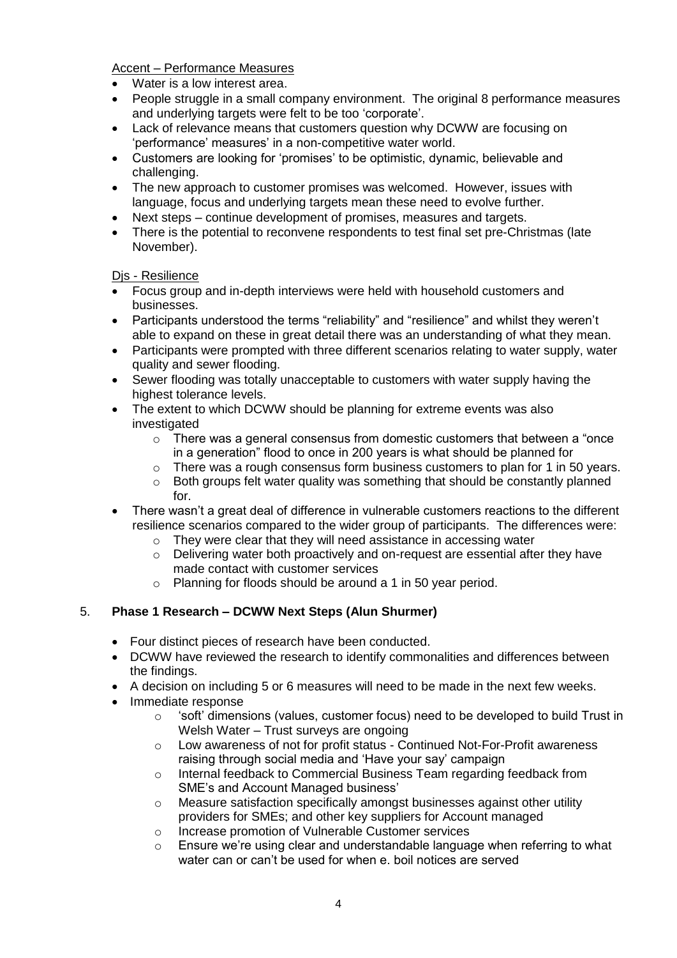Accent – Performance Measures

- Water is a low interest area.
- People struggle in a small company environment. The original 8 performance measures and underlying targets were felt to be too 'corporate'.
- Lack of relevance means that customers question why DCWW are focusing on 'performance' measures' in a non-competitive water world.
- Customers are looking for 'promises' to be optimistic, dynamic, believable and challenging.
- The new approach to customer promises was welcomed. However, issues with language, focus and underlying targets mean these need to evolve further.
- Next steps continue development of promises, measures and targets.
- There is the potential to reconvene respondents to test final set pre-Christmas (late November).

Dis - Resilience

- Focus group and in-depth interviews were held with household customers and businesses.
- Participants understood the terms "reliability" and "resilience" and whilst they weren't able to expand on these in great detail there was an understanding of what they mean.
- Participants were prompted with three different scenarios relating to water supply, water quality and sewer flooding.
- Sewer flooding was totally unacceptable to customers with water supply having the highest tolerance levels.
- The extent to which DCWW should be planning for extreme events was also investigated
	- o There was a general consensus from domestic customers that between a "once in a generation" flood to once in 200 years is what should be planned for
	- o There was a rough consensus form business customers to plan for 1 in 50 years.
	- $\circ$  Both groups felt water quality was something that should be constantly planned for.
- There wasn't a great deal of difference in vulnerable customers reactions to the different resilience scenarios compared to the wider group of participants. The differences were:
	- $\circ$  They were clear that they will need assistance in accessing water
	- o Delivering water both proactively and on-request are essential after they have made contact with customer services
	- o Planning for floods should be around a 1 in 50 year period.

# 5. **Phase 1 Research – DCWW Next Steps (Alun Shurmer)**

- Four distinct pieces of research have been conducted.
- DCWW have reviewed the research to identify commonalities and differences between the findings.
- A decision on including 5 or 6 measures will need to be made in the next few weeks.
- Immediate response
	- $\circ$  'soft' dimensions (values, customer focus) need to be developed to build Trust in Welsh Water – Trust surveys are ongoing
	- $\circ$  Low awareness of not for profit status Continued Not-For-Profit awareness raising through social media and 'Have your say' campaign
	- o Internal feedback to Commercial Business Team regarding feedback from SME's and Account Managed business'
	- o Measure satisfaction specifically amongst businesses against other utility providers for SMEs; and other key suppliers for Account managed
	- o Increase promotion of Vulnerable Customer services
	- o Ensure we're using clear and understandable language when referring to what water can or can't be used for when e. boil notices are served